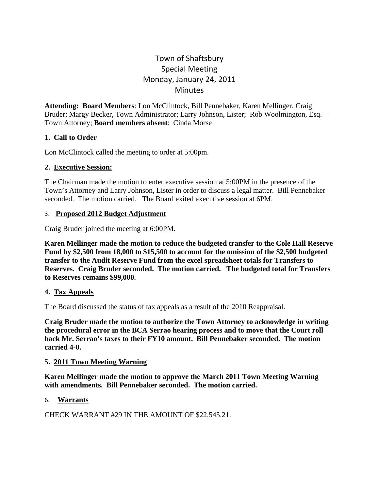# Town of Shaftsbury Special Meeting Monday, January 24, 2011 **Minutes**

**Attending: Board Members**: Lon McClintock, Bill Pennebaker, Karen Mellinger, Craig Bruder; Margy Becker, Town Administrator; Larry Johnson, Lister; Rob Woolmington, Esq. – Town Attorney; **Board members absent**: Cinda Morse

# **1. Call to Order**

Lon McClintock called the meeting to order at 5:00pm.

### **2. Executive Session:**

The Chairman made the motion to enter executive session at 5:00PM in the presence of the Town's Attorney and Larry Johnson, Lister in order to discuss a legal matter. Bill Pennebaker seconded. The motion carried. The Board exited executive session at 6PM.

### 3. **Proposed 2012 Budget Adjustment**

Craig Bruder joined the meeting at 6:00PM.

**Karen Mellinger made the motion to reduce the budgeted transfer to the Cole Hall Reserve Fund by \$2,500 from 18,000 to \$15,500 to account for the omission of the \$2,500 budgeted transfer to the Audit Reserve Fund from the excel spreadsheet totals for Transfers to Reserves. Craig Bruder seconded. The motion carried. The budgeted total for Transfers to Reserves remains \$99,000.**

# **4. Tax Appeals**

The Board discussed the status of tax appeals as a result of the 2010 Reappraisal.

**Craig Bruder made the motion to authorize the Town Attorney to acknowledge in writing the procedural error in the BCA Serrao hearing process and to move that the Court roll back Mr. Serrao's taxes to their FY10 amount. Bill Pennebaker seconded. The motion carried 4-0.**

#### **5. 2011 Town Meeting Warning**

**Karen Mellinger made the motion to approve the March 2011 Town Meeting Warning with amendments. Bill Pennebaker seconded. The motion carried.**

# 6. **Warrants**

CHECK WARRANT #29 IN THE AMOUNT OF \$22,545.21.